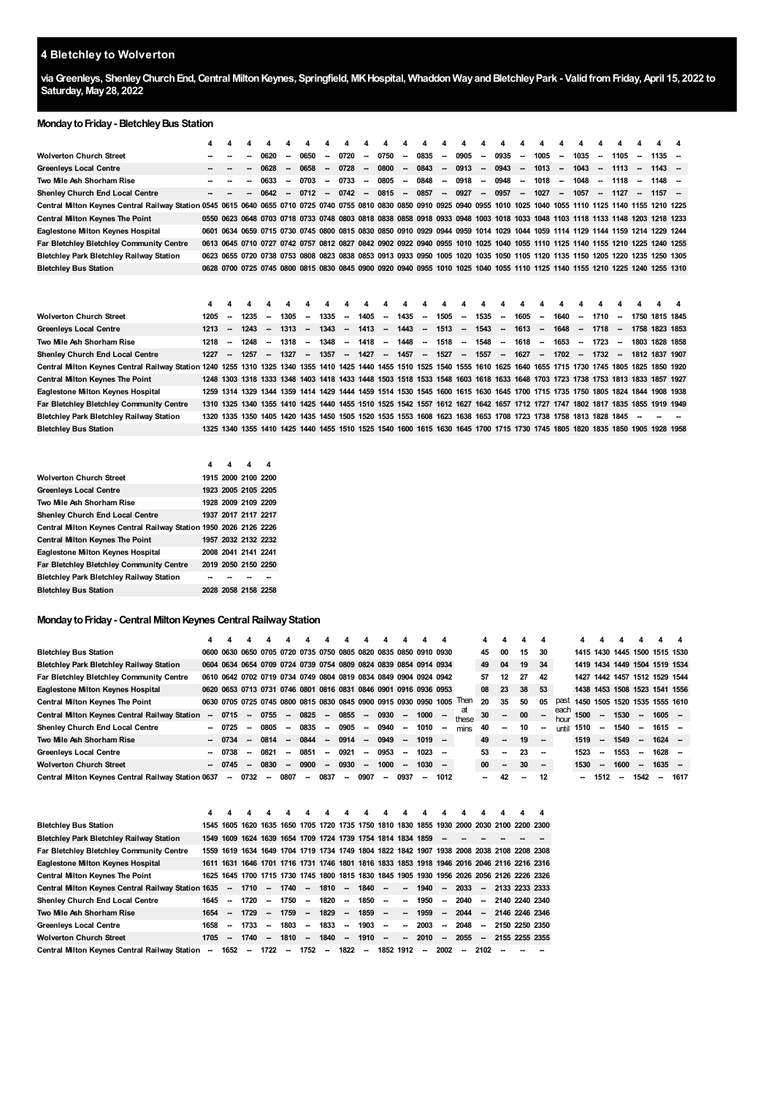# **Bletchley to Wolverton**

**viaGreenleys, ShenleyChurchEnd,Central MiltonKeynes, Springfield, MKHospital, WhaddonWayandBletchleyPark - ValidfromFriday,April 15, 2022 to Saturday, May28, 2022**

### **MondaytoFriday- BletchleyBus Station**

|                                                                                                                                                                            | 4    | 4                        |                                                                                                                              | 4                        |        | 4                        |                          |                          |        |                          |                          | Δ                                                                                                   | Δ                        | Δ                        | Δ                        |                          |                          |        | Δ                        |        | 4                        |        | 4                        |                                                                                                                              |  |
|----------------------------------------------------------------------------------------------------------------------------------------------------------------------------|------|--------------------------|------------------------------------------------------------------------------------------------------------------------------|--------------------------|--------|--------------------------|--------------------------|--------------------------|--------|--------------------------|--------------------------|-----------------------------------------------------------------------------------------------------|--------------------------|--------------------------|--------------------------|--------------------------|--------------------------|--------|--------------------------|--------|--------------------------|--------|--------------------------|------------------------------------------------------------------------------------------------------------------------------|--|
| <b>Wolverton Church Street</b>                                                                                                                                             |      |                          |                                                                                                                              | 0620                     | $\sim$ | 0650                     | $\sim$                   | 0720                     | $\sim$ | 0750                     | --                       | 0835                                                                                                | $\sim$                   | 0905                     | $\overline{\phantom{a}}$ | 0935                     | $\overline{\phantom{a}}$ | 1005   | -                        | 1035   | $\sim$                   | 1105   | $\sim$                   | 1135                                                                                                                         |  |
| <b>Greenleys Local Centre</b>                                                                                                                                              |      |                          |                                                                                                                              | 0628                     |        | 0658                     | --                       | 0728                     | $\sim$ | 0800                     | $\overline{\phantom{a}}$ | 0843                                                                                                | $\overline{\phantom{a}}$ | 0913                     | $\overline{\phantom{a}}$ | 0943                     | $\overline{\phantom{a}}$ | 1013   | $\sim$                   | 1043   | $\overline{\phantom{a}}$ | 1113   | $\sim$                   | $1143 -$                                                                                                                     |  |
| Two Mile Ash Shorham Rise                                                                                                                                                  |      |                          |                                                                                                                              | 0633                     |        | 0703                     | --                       | 0733                     |        | 0805                     | $\sim$                   | 0848                                                                                                | $\overline{\phantom{a}}$ | 0918                     | $\overline{\phantom{a}}$ | 0948                     | $\overline{\phantom{a}}$ | 1018   | -                        | 1048   | $\overline{\phantom{a}}$ | 1118   | --                       | $1148 -$                                                                                                                     |  |
| Shenley Church End Local Centre                                                                                                                                            |      |                          |                                                                                                                              | 0642                     |        | 0712                     | $\overline{\phantom{a}}$ | 0742                     | $\sim$ | 0815                     | $\overline{\phantom{a}}$ | 0857                                                                                                | $\overline{\phantom{a}}$ | 0927                     | $\overline{\phantom{a}}$ | 0957                     | $\overline{\phantom{a}}$ | 1027   | $\overline{\phantom{a}}$ | 1057   | $\overline{\phantom{a}}$ | 1127   | $\overline{\phantom{a}}$ | $1157 -$                                                                                                                     |  |
| Central Milton Keynes Central Railway Station 0545 0615 0640 0655 0710 0725 0740 0755 0810 0830 0850 0910 0925 0940 0955 1010 1025 1040 1055 1110 1125 1140 1155 1210 1225 |      |                          |                                                                                                                              |                          |        |                          |                          |                          |        |                          |                          |                                                                                                     |                          |                          |                          |                          |                          |        |                          |        |                          |        |                          |                                                                                                                              |  |
| <b>Central Milton Keynes The Point</b>                                                                                                                                     |      | 0550 0623                |                                                                                                                              |                          |        |                          |                          |                          |        |                          |                          |                                                                                                     |                          |                          |                          |                          |                          |        |                          |        |                          |        |                          | 0648 0703 0718 0733 0748 0803 0818 0838 0858 0918 0933 0948 1003 1018 1033 1048 1103 1118 1133 1148 1203 1218 1233           |  |
| Eaglestone Milton Keynes Hospital                                                                                                                                          |      |                          |                                                                                                                              |                          |        |                          |                          |                          |        |                          |                          |                                                                                                     |                          |                          |                          |                          |                          |        |                          |        |                          |        |                          | 0601 0634 0659 0715 0730 0745 0800 0815 0830 0850 0910 0929 0944 0959 1014 1029 1044 1059 1114 1129 1144 1159 1214 1229 1244 |  |
| <b>Far Bletchley Bletchley Community Centre</b>                                                                                                                            |      |                          |                                                                                                                              |                          |        |                          |                          |                          |        |                          |                          |                                                                                                     |                          |                          |                          |                          |                          |        |                          |        |                          |        |                          | 0613 0645 0710 0727 0742 0757 0812 0827 0842 0902 0922 0940 0955 1010 1025 1040 1055 1110 1125 1140 1155 1210 1225 1240 1255 |  |
| <b>Bletchley Park Bletchley Railway Station</b>                                                                                                                            | 0623 |                          |                                                                                                                              |                          |        |                          |                          |                          |        |                          |                          |                                                                                                     |                          |                          |                          |                          |                          |        |                          |        |                          |        |                          | 0655 0720 0738 0753 0808 0823 0838 0853 0913 0933 0950 1005 1020 1035 1050 1105 1120 1135 1150 1205 1220 1235 1250 1305      |  |
| <b>Bletchley Bus Station</b>                                                                                                                                               |      |                          |                                                                                                                              |                          |        |                          |                          |                          |        |                          |                          |                                                                                                     |                          |                          |                          |                          |                          |        |                          |        |                          |        |                          | 0628 0700 0725 0745 0800 0815 0830 0845 0900 0920 0940 0955 1010 1025 1040 1055 1110 1125 1140 1155 1210 1225 1240 1255 1310 |  |
|                                                                                                                                                                            |      |                          |                                                                                                                              |                          |        |                          |                          |                          |        |                          |                          |                                                                                                     |                          |                          |                          |                          |                          |        |                          |        |                          |        |                          |                                                                                                                              |  |
| <b>Wolverton Church Street</b>                                                                                                                                             | 1205 |                          | 1235                                                                                                                         | $\overline{\phantom{a}}$ | 1305   | $\overline{\phantom{a}}$ | 1335                     | $\sim$                   | 1405   | $\overline{\phantom{a}}$ | 1435                     | $\sim$                                                                                              | 1505                     | $\sim$                   | 1535                     | -                        | 1605                     | $\sim$ | 1640                     | -      | 1710                     | $\sim$ |                          | 1750 1815 1845                                                                                                               |  |
| <b>Greenleys Local Centre</b>                                                                                                                                              | 1213 | $\overline{\phantom{a}}$ | 1243                                                                                                                         | $\overline{\phantom{a}}$ | 1313   | $\overline{\phantom{a}}$ | 1343                     | $\sim$                   | 1413   | $\sim$                   | 1443                     | $\sim$                                                                                              | 1513                     | $\overline{\phantom{a}}$ | 1543                     | $\sim$                   | 1613                     | $\sim$ | 1648                     | $\sim$ | 1718 -                   |        |                          | 1758 1823 1853                                                                                                               |  |
| Two Mile Ash Shorham Rise                                                                                                                                                  | 1218 | -                        | 1248                                                                                                                         | $\overline{\phantom{a}}$ | 1318   | $\overline{\phantom{a}}$ | 1348                     | $\sim$                   | 1418   | $\sim$                   | 1448                     | $\sim$                                                                                              | 1518                     | $\sim$                   | 1548                     | $\sim$                   | 1618                     | $\sim$ | 1653                     | $\sim$ | 1723                     |        | 1803                     | 1828 1858                                                                                                                    |  |
| <b>Shenley Church End Local Centre</b>                                                                                                                                     | 1227 | $\overline{\phantom{a}}$ | 1257                                                                                                                         | $\sim$                   | 1327   | $\overline{\phantom{a}}$ | 1357                     | $\overline{\phantom{a}}$ | 1427   | $\overline{\phantom{a}}$ | 1457                     | $\overline{\phantom{a}}$                                                                            | 1527                     | $\overline{\phantom{a}}$ | 1557                     | $\overline{\phantom{a}}$ | 1627                     | $\sim$ | 1702                     | $\sim$ | 1732                     | $\sim$ |                          | 1812 1837 1907                                                                                                               |  |
| Central Milton Keynes Central Railway Station 1240 1255 1310 1325 1340 1355 1410 1425 1440 1455 1510 1525 1540 1555 1610 1625 1640 1655 1715 1730 1745 1805 1825 1850 1920 |      |                          |                                                                                                                              |                          |        |                          |                          |                          |        |                          |                          |                                                                                                     |                          |                          |                          |                          |                          |        |                          |        |                          |        |                          |                                                                                                                              |  |
| <b>Central Milton Keynes The Point</b>                                                                                                                                     |      | 1248 1303                |                                                                                                                              |                          |        |                          |                          |                          |        |                          |                          |                                                                                                     |                          |                          |                          |                          |                          |        |                          |        |                          |        |                          | 1318 1333 1348 1403 1418 1433 1448 1503 1518 1533 1548 1603 1618 1633 1648 1703 1723 1738 1753 1813 1833 1857 1927           |  |
| Eaglestone Milton Keynes Hospital                                                                                                                                          |      |                          |                                                                                                                              |                          |        |                          |                          |                          |        |                          |                          |                                                                                                     |                          |                          |                          |                          |                          |        |                          |        |                          |        |                          | 1259 1314 1329 1344 1359 1414 1429 1444 1459 1514 1530 1545 1600 1615 1630 1645 1700 1715 1735 1750 1805 1824 1844 1908 1938 |  |
| Far Bletchley Bletchley Community Centre                                                                                                                                   | 1310 | 1325                     |                                                                                                                              |                          |        |                          |                          |                          |        |                          |                          |                                                                                                     |                          |                          |                          |                          |                          |        |                          |        |                          |        |                          | 1340 1355 1410 1425 1440 1455 1510 1525 1542 1557 1612 1627 1642 1657 1712 1727 1747 1802 1817 1835 1855 1919 1949           |  |
| <b>Bletchley Park Bletchley Railway Station</b>                                                                                                                            |      | 1320 1335                |                                                                                                                              |                          |        |                          |                          |                          |        |                          |                          | 1350 1405 1420 1435 1450 1505 1520 1535 1553 1608 1623 1638 1653 1708 1723 1738 1758 1813 1828 1845 |                          |                          |                          |                          |                          |        |                          |        |                          |        | $\sim$                   |                                                                                                                              |  |
| <b>Bletchley Bus Station</b>                                                                                                                                               |      |                          | 1325 1340 1355 1410 1425 1440 1455 1510 1525 1540 1600 1615 1630 1645 1700 1715 1730 1745 1805 1820 1835 1850 1905 1928 1958 |                          |        |                          |                          |                          |        |                          |                          |                                                                                                     |                          |                          |                          |                          |                          |        |                          |        |                          |        |                          |                                                                                                                              |  |

|                                                                   | 4                   | 4 | 4 |
|-------------------------------------------------------------------|---------------------|---|---|
| Wolverton Church Street                                           | 1915 2000 2100 2200 |   |   |
| <b>Greenleys Local Centre</b>                                     | 1923 2005 2105 2205 |   |   |
| Two Mile Ash Shorham Rise                                         | 1928 2009 2109 2209 |   |   |
| <b>Shenley Church End Local Centre</b>                            | 1937 2017 2117 2217 |   |   |
| Central Milton Keynes Central Railway Station 1950 2026 2126 2226 |                     |   |   |
| Central Milton Keynes The Point                                   | 1957 2032 2132 2232 |   |   |
| Eaglestone Milton Keynes Hospital                                 | 2008 2041 2141 2241 |   |   |
| Far Bletchley Bletchley Community Centre                          | 2019 2050 2150 2250 |   |   |
| Bletchley Park Bletchley Railway Station                          |                     |   |   |
| <b>Bletchley Bus Station</b>                                      | 2028 2058 2158 2258 |   |   |

### **Monday to Friday - Central Milton Keynes Central Railway Station**

|                                                    |                          |         |                                                                  |                          |        |                          |                          |        |        |        |        |          |      |             |    |                          |    |        |       | 4                             |        |        |                          |                          |      |
|----------------------------------------------------|--------------------------|---------|------------------------------------------------------------------|--------------------------|--------|--------------------------|--------------------------|--------|--------|--------|--------|----------|------|-------------|----|--------------------------|----|--------|-------|-------------------------------|--------|--------|--------------------------|--------------------------|------|
| <b>Bletchley Bus Station</b>                       |                          |         | 0600 0630 0650 0705 0720 0735 0750 0805 0820 0835 0850 0910 0930 |                          |        |                          |                          |        |        |        |        |          |      |             | 45 | 00                       | 15 | 30     |       | 1415 1430 1445 1500 1515 1530 |        |        |                          |                          |      |
| <b>Bletchley Park Bletchley Railway Station</b>    |                          |         | 0604 0634 0654 0709 0724 0739 0754 0809 0824 0839 0854 0914 0934 |                          |        |                          |                          |        |        |        |        |          |      |             | 49 | 04                       | 19 | 34     |       | 1419 1434 1449 1504 1519 1534 |        |        |                          |                          |      |
| Far Bletchley Bletchley Community Centre           |                          |         | 0610 0642 0702 0719 0734 0749 0804 0819 0834 0849 0904 0924 0942 |                          |        |                          |                          |        |        |        |        |          |      |             | 57 | 12                       | 27 | 42     |       | 1427 1442 1457 1512 1529 1544 |        |        |                          |                          |      |
| Eaglestone Milton Keynes Hospital                  |                          |         | 0620 0653 0713 0731 0746 0801 0816 0831 0846 0901 0916 0936 0953 |                          |        |                          |                          |        |        |        |        |          |      |             | 08 | 23                       | 38 | 53     |       | 1438 1453 1508 1523 1541 1556 |        |        |                          |                          |      |
| <b>Central Milton Keynes The Point</b>             |                          |         | 0630 0705 0725 0745 0800 0815 0830 0845 0900 0915 0930 0950 1005 |                          |        |                          |                          |        |        |        |        |          |      | Then        | 20 | 35                       | 50 | 05     | past  | 1450 1505 1520 1535 1555 1610 |        |        |                          |                          |      |
| Central Milton Keynes Central Railway Station      |                          | 0715    | $\overline{\phantom{a}}$                                         | 0755                     | $\sim$ | 0825                     | $\sim$                   | 0855   | $\sim$ | 0930   | --     | $1000 -$ |      | at<br>these | 30 | $\sim$                   |    |        | each  | 1500                          | $\sim$ | 1530   | $\overline{\phantom{a}}$ | $1605 -$                 |      |
| Shenley Church End Local Centre                    |                          | $-0725$ | -                                                                | 0805                     | $\sim$ | 0835                     | $\overline{\phantom{a}}$ | 0905   | $\sim$ | 0940   | --     | 1010     |      | mins        | 40 | $\overline{\phantom{a}}$ | 10 | $\sim$ | until | 1510                          | $\sim$ | 1540   | $\overline{\phantom{a}}$ | $1615 -$                 |      |
| Two Mile Ash Shorham Rise                          | $\overline{\phantom{a}}$ | 0734    | -                                                                | 0814                     | $\sim$ | 0844                     | $\sim$                   | 0914   | $\sim$ | 0949   | --     | $1019 -$ |      |             | 49 | $\overline{\phantom{a}}$ | 19 | --     |       | 1519                          | $\sim$ | 1549   | $\overline{\phantom{a}}$ | $1624 -$                 |      |
| <b>Greenleys Local Centre</b>                      |                          | 0738    | -                                                                | 0821                     | $\sim$ | 0851                     | --                       | 0921   | $\sim$ | 0953   | --     | 1023     |      |             | 53 | --                       | 23 | --     |       | 1523                          | $\sim$ | 1553   | -                        | 1628                     |      |
| <b>Wolverton Church Street</b>                     |                          | 0745    | -                                                                | 0830                     | --     | 0900                     | $\sim$                   | 0930   | --     | 1000   | $\sim$ | $1030 -$ |      |             | 00 | $\overline{\phantom{a}}$ | 30 | --     |       | 1530                          | $\sim$ | 1600   | $\overline{\phantom{a}}$ | 1635                     |      |
| Central Milton Keynes Central Railway Station 0637 |                          | -       | 0732                                                             | $\overline{\phantom{a}}$ | 0807   | $\overline{\phantom{a}}$ | 0837                     | $\sim$ | 0907   | $\sim$ | 0937   | $\sim$   | 1012 |             | -- |                          |    | 12     |       | -                             | 1512   | $\sim$ | 1542                     | $\overline{\phantom{a}}$ | 1617 |

|                                                           | 4    |                          |      | 4                        | 4        | 4                                                           | 4      | 4                        | 4      | 4                        | 4                        | 4                        |        |        | 4      |                                                                                           | 4 |
|-----------------------------------------------------------|------|--------------------------|------|--------------------------|----------|-------------------------------------------------------------|--------|--------------------------|--------|--------------------------|--------------------------|--------------------------|--------|--------|--------|-------------------------------------------------------------------------------------------|---|
| <b>Bletchley Bus Station</b>                              |      |                          |      |                          |          |                                                             |        |                          |        |                          |                          |                          |        |        |        | 1545 1605 1620 1635 1650 1705 1720 1735 1750 1810 1830 1855 1930 2000 2030 2100 2200 2300 |   |
| <b>Bletchley Park Bletchley Railway Station</b>           |      |                          |      |                          |          | 1549 1609 1624 1639 1654 1709 1724 1739 1754 1814 1834 1859 |        |                          |        |                          |                          |                          |        |        |        |                                                                                           |   |
| Far Bletchley Bletchley Community Centre                  |      |                          |      |                          |          |                                                             |        |                          |        |                          |                          |                          |        |        |        | 1559 1619 1634 1649 1704 1719 1734 1749 1804 1822 1842 1907 1938 2008 2038 2108 2208 2308 |   |
| Eaglestone Milton Keynes Hospital                         |      |                          |      |                          |          |                                                             |        |                          |        |                          |                          |                          |        |        |        | 1611 1631 1646 1701 1716 1731 1746 1801 1816 1833 1853 1918 1946 2016 2046 2116 2216 2316 |   |
| <b>Central Milton Keynes The Point</b>                    |      |                          |      |                          |          |                                                             |        |                          |        |                          |                          |                          |        |        |        | 1625 1645 1700 1715 1730 1745 1800 1815 1830 1845 1905 1930 1956 2026 2056 2126 2226 2326 |   |
| Central Milton Keynes Central Railway Station 1635 - 1710 |      |                          |      | $\overline{\phantom{a}}$ | $1740 -$ |                                                             | 1810 - |                          | 1840   | $\sim$                   | $\sim$                   | 1940                     | $\sim$ | 2033   | $\sim$ | 2133 2233 2333                                                                            |   |
| Shenley Church End Local Centre                           | 1645 | $\overline{\phantom{a}}$ | 1720 | -                        | 1750     | --                                                          | 1820   | $\overline{\phantom{a}}$ | 1850   | $\overline{\phantom{a}}$ | $\overline{\phantom{a}}$ | 1950                     | $\sim$ | 2040   | $\sim$ | 2140 2240 2340                                                                            |   |
| Two Mile Ash Shorham Rise                                 | 1654 | $\sim$                   | 1729 | -                        | 1759     | $\overline{\phantom{a}}$                                    | 1829   | $\sim$                   | 1859   | $\sim$                   | $\sim$                   | 1959                     | $\sim$ | 2044   | $\sim$ | 2146 2246 2346                                                                            |   |
| <b>Greenleys Local Centre</b>                             | 1658 | $\sim$                   | 1733 | $\overline{\phantom{a}}$ | 1803     | $\overline{\phantom{a}}$                                    | 1833   | $\sim$                   | 1903   | $\sim$                   | $\overline{\phantom{a}}$ | $2003 -$                 |        | 2048   | $\sim$ | 2150 2250 2350                                                                            |   |
| <b>Wolverton Church Street</b>                            | 1705 | $\sim$                   | 1740 | $\sim$                   | 1810     | $\sim$                                                      | 1840   | $\sim$                   | 1910   | $\sim$                   | $\sim$                   | 2010                     | $\sim$ | 2055   |        | $-215522552355$                                                                           |   |
| Central Milton Kevnes Central Railway Station -           |      | 1652 - 1722              |      |                          |          | -- 1752                                                     | $\sim$ | 1822                     | $\sim$ | 1852 1912                |                          | $\overline{\phantom{a}}$ | 2002   | $\sim$ | 2102   |                                                                                           |   |